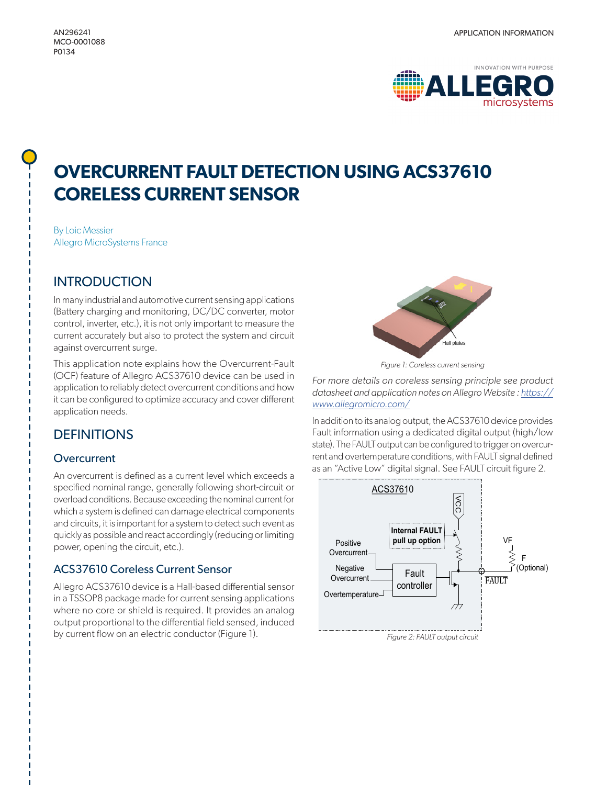#### MCO-0001088 P0134



# **OVERCURRENT FAULT DETECTION USING ACS37610 CORELESS CURRENT SENSOR**

By Loic Messier Allegro MicroSystems France

# **INTRODUCTION**

In many industrial and automotive current sensing applications (Battery charging and monitoring, DC/DC converter, motor control, inverter, etc.), it is not only important to measure the current accurately but also to protect the system and circuit against overcurrent surge.

This application note explains how the Overcurrent-Fault (OCF) feature of Allegro ACS37610 device can be used in application to reliably detect overcurrent conditions and how it can be configured to optimize accuracy and cover different application needs.

# **DEFINITIONS**

#### **Overcurrent**

An overcurrent is defined as a current level which exceeds a specified nominal range, generally following short-circuit or overload conditions. Because exceeding the nominal current for which a system is defined can damage electrical components and circuits, it is important for a system to detect such event as quickly as possible and react accordingly (reducing or limiting power, opening the circuit, etc.).

## ACS37610 Coreless Current Sensor

Allegro ACS37610 device is a Hall-based differential sensor in a TSSOP8 package made for current sensing applications where no core or shield is required. It provides an analog output proportional to the differential field sensed, induced by current flow on an electric conductor (Figure 1).



*Figure 1: Coreless current sensing*

*For more details on coreless sensing principle see product datasheet and application notes on Allegro Website : [https://](https://www.allegromicro.com/) [www.allegromicro.com/](https://www.allegromicro.com/)*

In addition to its analog output, the ACS37610 device provides Fault information using a dedicated digital output (high/low state). The FAULT output can be configured to trigger on overcurrent and overtemperature conditions, with FAULT signal defined as an "Active Low" digital signal. See FAULT circuit figure 2.

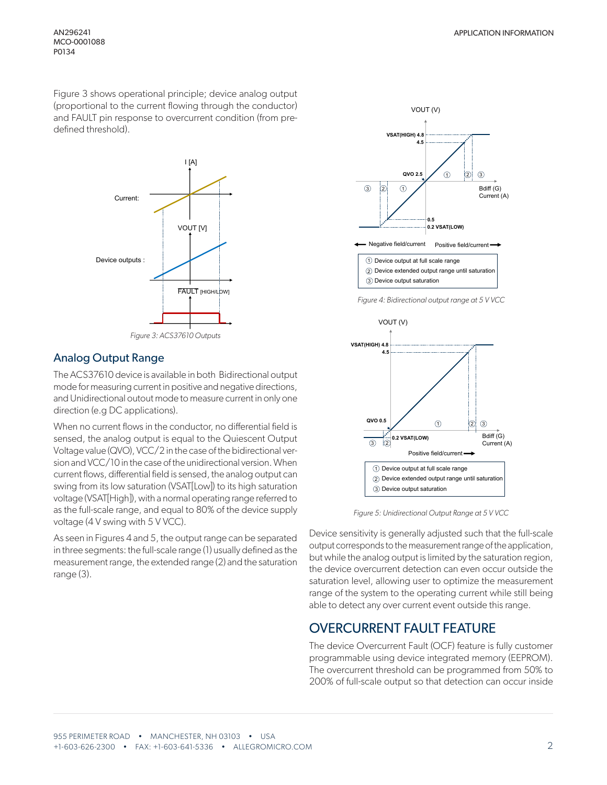Figure 3 shows operational principle; device analog output (proportional to the current flowing through the conductor) and FAULT pin response to overcurrent condition (from predefined threshold).



*Figure 3: ACS37610 Outputs*

#### Analog Output Range

The ACS37610 device is available in both Bidirectional output mode for measuring current in positive and negative directions, and Unidirectional outout mode to measure current in only one direction (e.g DC applications).

When no current flows in the conductor, no differential field is sensed, the analog output is equal to the Quiescent Output Voltage value (QVO), VCC/2 in the case of the bidirectional version and VCC/10 in the case of the unidirectional version. When current flows, differential field is sensed, the analog output can swing from its low saturation (VSAT[Low]) to its high saturation voltage (VSAT[High]), with a normal operating range referred to as the full-scale range, and equal to 80% of the device supply voltage (4 V swing with 5 V VCC).

As seen in Figures 4 and 5, the output range can be separated in three segments: the full-scale range (1) usually defined as the measurement range, the extended range (2) and the saturation range (3).



*Figure 4: Bidirectional output range at 5 V VCC*



*Figure 5: Unidirectional Output Range at 5 V VCC*

Device sensitivity is generally adjusted such that the full-scale output corresponds to the measurement range of the application, but while the analog output is limited by the saturation region, the device overcurrent detection can even occur outside the saturation level, allowing user to optimize the measurement range of the system to the operating current while still being able to detect any over current event outside this range.

## OVERCURRENT FAULT FEATURE

The device Overcurrent Fault (OCF) feature is fully customer programmable using device integrated memory (EEPROM). The overcurrent threshold can be programmed from 50% to 200% of full-scale output so that detection can occur inside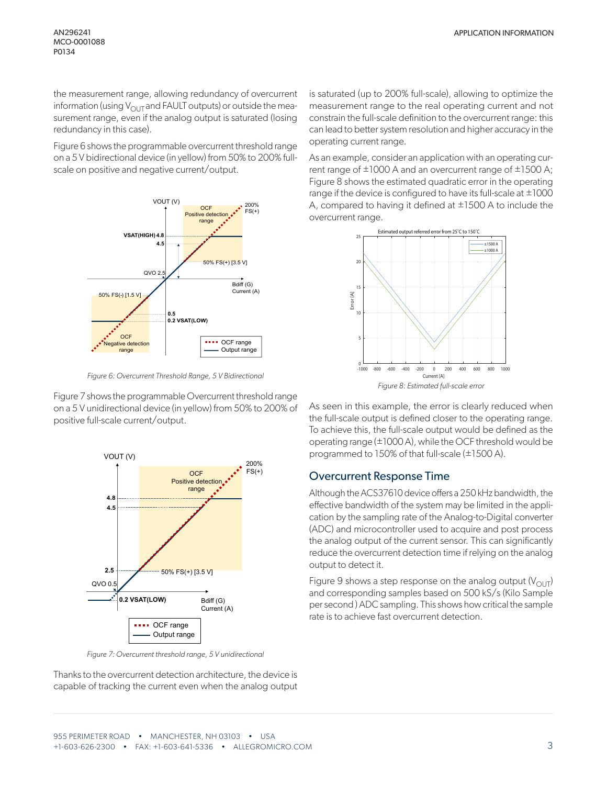the measurement range, allowing redundancy of overcurrent information (using  $V_{\text{OUT}}$  and FAULT outputs) or outside the measurement range, even if the analog output is saturated (losing redundancy in this case).

Figure 6 shows the programmable overcurrent threshold range on a 5 V bidirectional device (in yellow) from 50% to 200% fullscale on positive and negative current/output.



*Figure 6: Overcurrent Threshold Range, 5 V Bidirectional*

Figure 7 shows the programmable Overcurrent threshold range on a 5 V unidirectional device (in yellow) from 50% to 200% of positive full-scale current/output.



*Figure 7: Overcurrent threshold range, 5 V unidirectional*

Thanks to the overcurrent detection architecture, the device is capable of tracking the current even when the analog output is saturated (up to 200% full-scale), allowing to optimize the measurement range to the real operating current and not constrain the full-scale definition to the overcurrent range: this can lead to better system resolution and higher accuracy in the operating current range.

As an example, consider an application with an operating current range of  $\pm 1000$  A and an overcurrent range of  $\pm 1500$  A; Figure 8 shows the estimated quadratic error in the operating range if the device is configured to have its full-scale at  $\pm 1000$ A, compared to having it defined at ±1500 A to include the overcurrent range.



As seen in this example, the error is clearly reduced when the full-scale output is defined closer to the operating range. To achieve this, the full-scale output would be defined as the operating range (±1000 A), while the OCF threshold would be programmed to 150% of that full-scale (±1500 A).

#### Overcurrent Response Time

Although the ACS37610 device offers a 250 kHz bandwidth, the effective bandwidth of the system may be limited in the application by the sampling rate of the Analog-to-Digital converter (ADC) and microcontroller used to acquire and post process the analog output of the current sensor. This can significantly reduce the overcurrent detection time if relying on the analog output to detect it.

Figure 9 shows a step response on the analog output ( $V_{\text{OUT}}$ ) and corresponding samples based on 500 kS/s (Kilo Sample per second ) ADC sampling. This shows how critical the sample rate is to achieve fast overcurrent detection.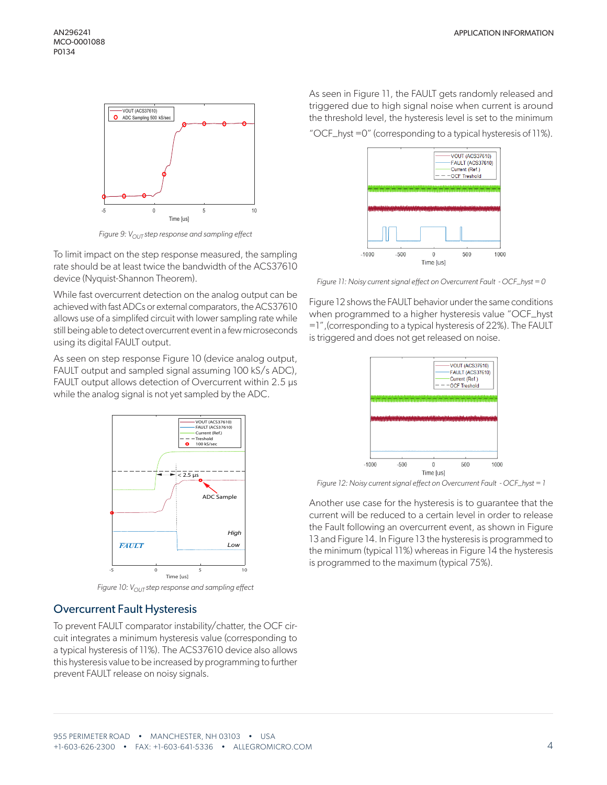

*Figure 9: V<sub>OUT</sub> step response and sampling effect* 

To limit impact on the step response measured, the sampling rate should be at least twice the bandwidth of the ACS37610 device (Nyquist-Shannon Theorem).

While fast overcurrent detection on the analog output can be achieved with fast ADCs or external comparators, the ACS37610 allows use of a simplifed circuit with lower sampling rate while still being able to detect overcurrent event in a few microseconds using its digital FAULT output.

As seen on step response Figure 10 (device analog output, FAULT output and sampled signal assuming 100 kS/s ADC), FAULT output allows detection of Overcurrent within 2.5  $\mu$ s while the analog signal is not yet sampled by the ADC.



*Figure 10:* V<sub>OUT</sub> step response and sampling effect

#### Overcurrent Fault Hysteresis

To prevent FAULT comparator instability/chatter, the OCF circuit integrates a minimum hysteresis value (corresponding to a typical hysteresis of 11%). The ACS37610 device also allows this hysteresis value to be increased by programming to further prevent FAULT release on noisy signals.

As seen in Figure 11, the FAULT gets randomly released and triggered due to high signal noise when current is around the threshold level, the hysteresis level is set to the minimum

"OCF\_hyst =0" (corresponding to a typical hysteresis of 11%).



*Figure 11: Noisy current signal effect on Overcurrent Fault - OCF\_hyst = 0*

Figure 12 shows the FAULT behavior under the same conditions when programmed to a higher hysteresis value "OCF\_hyst =1",(corresponding to a typical hysteresis of 22%). The FAULT is triggered and does not get released on noise.



*Figure 12: Noisy current signal effect on Overcurrent Fault - OCF\_hyst = 1*

Another use case for the hysteresis is to guarantee that the current will be reduced to a certain level in order to release the Fault following an overcurrent event, as shown in Figure 13 and Figure 14. In Figure 13 the hysteresis is programmed to the minimum (typical 11%) whereas in Figure 14 the hysteresis is programmed to the maximum (typical 75%).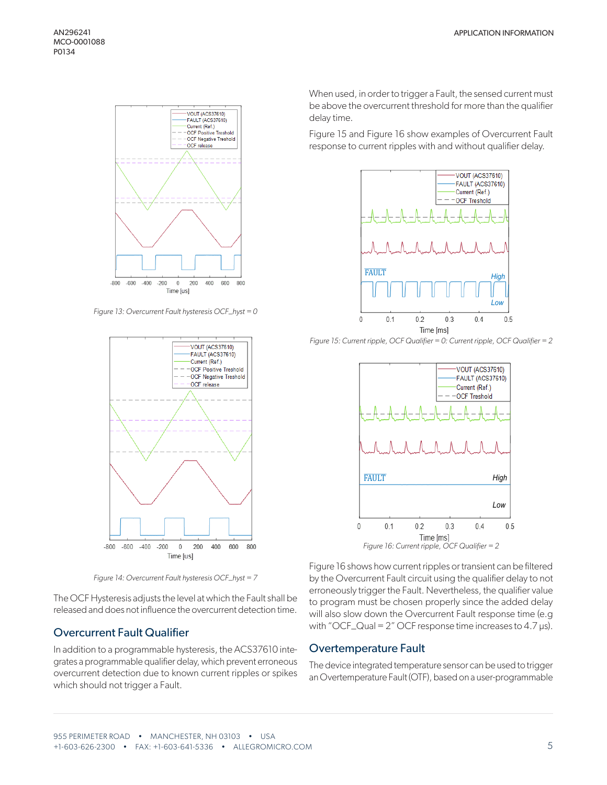

*Figure 13: Overcurrent Fault hysteresis OCF\_hyst = 0*



*Figure 14: Overcurrent Fault hysteresis OCF\_hyst = 7*

The OCF Hysteresis adjusts the level at which the Fault shall be released and does not influence the overcurrent detection time.

### Overcurrent Fault Qualifier

In addition to a programmable hysteresis, the ACS37610 integrates a programmable qualifier delay, which prevent erroneous overcurrent detection due to known current ripples or spikes which should not trigger a Fault.

When used, in order to trigger a Fault, the sensed current must be above the overcurrent threshold for more than the qualifier delay time.

Figure 15 and Figure 16 show examples of Overcurrent Fault response to current ripples with and without qualifier delay.







Figure 16 shows how current ripples or transient can be filtered by the Overcurrent Fault circuit using the qualifier delay to not erroneously trigger the Fault. Nevertheless, the qualifier value to program must be chosen properly since the added delay will also slow down the Overcurrent Fault response time (e.g with "OCF\_Qual =  $2$ " OCF response time increases to 4.7  $\mu$ s).

#### Overtemperature Fault

The device integrated temperature sensor can be used to trigger an Overtemperature Fault (OTF), based on a user-programmable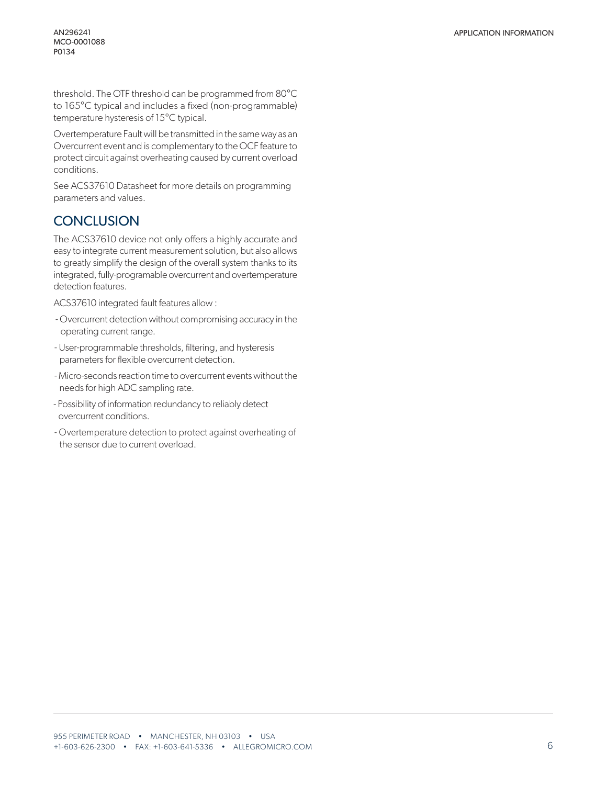threshold. The OTF threshold can be programmed from 80°C to 165°C typical and includes a fixed (non-programmable) temperature hysteresis of 15°C typical.

Overtemperature Fault will be transmitted in the same way as an Overcurrent event and is complementary to the OCF feature to protect circuit against overheating caused by current overload conditions.

See ACS37610 Datasheet for more details on programming parameters and values.

## **CONCLUSION**

The ACS37610 device not only offers a highly accurate and easy to integrate current measurement solution, but also allows to greatly simplify the design of the overall system thanks to its integrated, fully-programable overcurrent and overtemperature detection features.

ACS37610 integrated fault features allow :

- Overcurrent detection without compromising accuracy in the operating current range.
- User-programmable thresholds, filtering, and hysteresis parameters for flexible overcurrent detection.
- Micro-seconds reaction time to overcurrent events without the needs for high ADC sampling rate.
- Possibility of information redundancy to reliably detect overcurrent conditions.
- Overtemperature detection to protect against overheating of the sensor due to current overload.